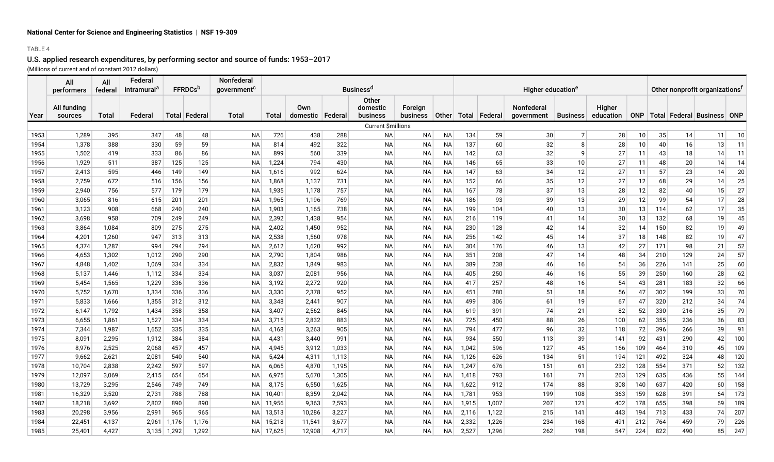### TABLE 4

|      | All                    | All     | Federal                 |       |                 | Nonfederal              |        |                           |       |                               |                            |           |                               |                 |                          |                 |                            |     |     |     |                                            |     |
|------|------------------------|---------|-------------------------|-------|-----------------|-------------------------|--------|---------------------------|-------|-------------------------------|----------------------------|-----------|-------------------------------|-----------------|--------------------------|-----------------|----------------------------|-----|-----|-----|--------------------------------------------|-----|
|      | performers             | federal | intramural <sup>a</sup> |       | <b>FFRDCs</b> b | government <sup>c</sup> |        |                           |       | <b>Businessd</b>              |                            |           | Higher education <sup>e</sup> |                 |                          |                 |                            |     |     |     | Other nonprofit organizations <sup>f</sup> |     |
| Year | All funding<br>sources | Total   | Federal                 |       | Total   Federal | Total                   | Total  | Own<br>domestic   Federal |       | Other<br>domestic<br>business | Foreian<br><b>business</b> | Other     |                               | Total   Federal | Nonfederal<br>government | <b>Business</b> | <b>Higher</b><br>education |     |     |     | ONP   Total   Federal   Business   ONP     |     |
|      |                        |         |                         |       |                 |                         |        |                           |       | Current \$millions            |                            |           |                               |                 |                          |                 |                            |     |     |     |                                            |     |
| 1953 | 1,289                  | 395     | 347                     | 48    | 48              | <b>NA</b>               | 726    | 438                       | 288   | <b>NA</b>                     | <b>NA</b>                  | <b>NA</b> | 134                           | 59              | 30                       | $\overline{7}$  | 28                         | 10  | 35  | 14  | 11                                         | 10  |
| 1954 | 1,378                  | 388     | 330                     | 59    | 59              | NA                      | 814    | 492                       | 322   | <b>NA</b>                     | NA                         | NA        | 137                           | 60              | 32                       | 8               | 28                         | 10  | 40  | 16  | 13                                         | 11  |
| 1955 | 1,502                  | 419     | 333                     | 86    | 86              | NA                      | 899    | 560                       | 339   | <b>NA</b>                     | ΝA                         | NА        | 142                           | 63              | 32                       | g               | 27                         | 11  | 43  | 18  | 14                                         | 11  |
| 1956 | 1,929                  | 511     | 387                     | 125   | 125             | NA                      | 1,224  | 794                       | 430   | <b>NA</b>                     | NA                         | NА        | 146                           | 65              | 33                       | 10              | 27                         | 11  | 48  | 20  | 14                                         | 14  |
| 1957 | 2,413                  | 595     | 446                     | 149   | 149             | NA                      | 1,616  | 992                       | 624   | <b>NA</b>                     | NA                         | NA        | 147                           | 63              | 34                       | 12              | 27                         | 11  | 57  | 23  | 14                                         | 20  |
| 1958 | 2,759                  | 672     | 516                     | 156   | 156             | NA                      | 1,868  | 1,137                     | 731   | <b>NA</b>                     | NA                         | ΝA        | 152                           | 66              | 35                       | 12              | 27                         | 12  | 68  | 29  | 14                                         | 25  |
| 1959 | 2,940                  | 756     | 577                     | 179   | 179             | NA                      | 1,935  | 1,178                     | 757   | <b>NA</b>                     | NA                         | NA        | 167                           | 78              | 37                       | 13              | 28                         | 12  | 82  | 40  | 15                                         | 27  |
| 1960 | 3,065                  | 816     | 615                     | 201   | 201             | NA                      | 1,965  | 1,196                     | 769   | <b>NA</b>                     | NA                         | NA        | 186                           | 93              | 39                       | 13              | 29                         | 12  | 99  | 54  | 17                                         | 28  |
| 1961 | 3,123                  | 908     | 668                     | 240   | 240             | NA                      | 1,903  | 1,165                     | 738   | <b>NA</b>                     | NA                         | NA        | 199                           | 104             | 40                       | 13              | 30                         | 13  | 114 | 62  | 17                                         | 35  |
| 1962 | 3,698                  | 958     | 709                     | 249   | 249             | NA                      | 2,392  | 1,438                     | 954   | <b>NA</b>                     | ΝA                         | NA        | 216                           | 119             | 41                       | 14              | 30                         | 13  | 132 | 68  | 19                                         | 45  |
| 1963 | 3,864                  | 1,084   | 809                     | 275   | 275             | NA                      | 2,402  | 1,450                     | 952   | <b>NA</b>                     | NA                         | NA        | 230                           | 128             | 42                       | 14              | 32                         | 14  | 150 | 82  | 19                                         | 49  |
| 1964 | 4,201                  | 1,260   | 947                     | 313   | 313             | NA                      | 2,538  | 1,560                     | 978   | <b>NA</b>                     | ΝA                         | NА        | 256                           | 142             | 45                       | 14              | 37                         | 18  | 148 | 82  | 19                                         | 47  |
| 1965 | 4,374                  | 1,287   | 994                     | 294   | 294             | <b>NA</b>               | 2,612  | 1,620                     | 992   | <b>NA</b>                     | <b>NA</b>                  | <b>NA</b> | 304                           | 176             | 46                       | 13              | 42                         | 27  | 171 | 98  | 21                                         | 52  |
| 1966 | 4,653                  | 1,302   | 1,012                   | 290   | 290             | <b>NA</b>               | 2,790  | 1,804                     | 986   | <b>NA</b>                     | <b>NA</b>                  | <b>NA</b> | 351                           | 208             | 47                       | 14              | 48                         | 34  | 210 | 129 | 24                                         | 57  |
| 1967 | 4,848                  | 1,402   | 1,069                   | 334   | 334             | <b>NA</b>               | 2,832  | 1,849                     | 983   | <b>NA</b>                     | <b>NA</b>                  | <b>NA</b> | 389                           | 238             | 46                       | 16              | 54                         | 36  | 226 | 141 | 25                                         | 60  |
| 1968 | 5,137                  | 1,446   | 1,112                   | 334   | 334             | NA                      | 3,037  | 2,081                     | 956   | <b>NA</b>                     | NA                         | NA        | 405                           | 250             | 46                       | 16              | 55                         | 39  | 250 | 160 | 28                                         | 62  |
| 1969 | 5,454                  | 1,565   | 1,229                   | 336   | 336             | NA                      | 3,192  | 2,272                     | 920   | <b>NA</b>                     | <b>NA</b>                  | NA        | 417                           | 257             | 48                       | 16              | 54                         | 43  | 281 | 183 | 32                                         | 66  |
| 1970 | 5,752                  | 1,670   | 1,334                   | 336   | 336             | NA                      | 3,330  | 2,378                     | 952   | <b>NA</b>                     | NA                         | <b>NA</b> | 451                           | 280             | 51                       | 18              | 56                         | 47  | 302 | 199 | 33                                         | 70  |
| 1971 | 5,833                  | 1,666   | 1,355                   | 312   | 312             | <b>NA</b>               | 3,348  | 2,441                     | 907   | <b>NA</b>                     | NA                         | NA        | 499                           | 306             | 61                       | 19              | 67                         | 47  | 320 | 212 | 34                                         | 74  |
| 1972 | 6,147                  | 1,792   | 1,434                   | 358   | 358             | <b>NA</b>               | 3,407  | 2,562                     | 845   | <b>NA</b>                     | <b>NA</b>                  | <b>NA</b> | 619                           | 391             | 74                       | 21              | 82                         | 52  | 330 | 216 | 35                                         | 79  |
| 1973 | 6,655                  | 1,861   | 1,527                   | 334   | 334             | <b>NA</b>               | 3,715  | 2,832                     | 883   | <b>NA</b>                     | NA                         | <b>NA</b> | 725                           | 450             | 88                       | 26              | 100                        | 62  | 355 | 236 | 36                                         | 83  |
| 1974 | 7,344                  | 1,987   | 1,652                   | 335   | 335             | NA                      | 4,168  | 3,263                     | 905   | <b>NA</b>                     | NA                         | NA        | 794                           | 477             | 96                       | 32              | 118                        | 72  | 396 | 266 | 39                                         | 91  |
| 1975 | 8,091                  | 2,295   | 1,912                   | 384   | 384             | <b>NA</b>               | 4,431  | 3,440                     | 991   | <b>NA</b>                     | NA                         | <b>NA</b> | 934                           | 550             | 113                      | 39              | 141                        | 92  | 431 | 290 | 42                                         | 100 |
| 1976 | 8,976                  | 2,525   | 2,068                   | 457   | 457             | NA                      | 4,945  | 3,912                     | 1,033 | <b>NA</b>                     | NA                         | NA        | 1,042                         | 596             | 127                      | 45              | 166                        | 109 | 464 | 310 | 45                                         | 109 |
| 1977 | 9,662                  | 2,621   | 2,081                   | 540   | 540             | <b>NA</b>               | 5,424  | 4,311                     | 1,113 | <b>NA</b>                     | NA                         | <b>NA</b> | 1,126                         | 626             | 134                      | 51              | 194                        | 121 | 492 | 324 | 48                                         | 120 |
| 1978 | 10,704                 | 2,838   | 2,242                   | 597   | 597             | <b>NA</b>               | 6,065  | 4,870                     | 1,195 | <b>NA</b>                     | <b>NA</b>                  | <b>NA</b> | 1,247                         | 676             | 151                      | 61              | 232                        | 128 | 554 | 371 | 52                                         | 132 |
| 1979 | 12,097                 | 3,069   | 2,415                   | 654   | 654             | <b>NA</b>               | 6,975  | 5,670                     | 1,305 | <b>NA</b>                     | NA                         | <b>NA</b> | 1,418                         | 793             | 161                      | 71              | 263                        | 129 | 635 | 436 | 55                                         | 144 |
| 1980 | 13,729                 | 3,295   | 2,546                   | 749   | 749             | NA                      | 8,175  | 6,550                     | 1,625 | <b>NA</b>                     | NA                         | NA        | 1,622                         | 912             | 174                      | 88              | 308                        | 140 | 637 | 420 | 60                                         | 158 |
| 1981 | 16,329                 | 3,520   | 2,731                   | 788   | 788             | NА                      | 10,401 | 8,359                     | 2,042 | <b>NA</b>                     | NA                         | NA        | 1,781                         | 953             | 199                      | 108             | 363                        | 159 | 628 | 391 | 64                                         | 173 |
| 1982 | 18,218                 | 3,692   | 2,802                   | 890   | 890             | NА                      | 11,956 | 9,363                     | 2,593 | <b>NA</b>                     | <b>NA</b>                  | NA        | 1,915                         | 1,007           | 207                      | 121             | 402                        | 178 | 655 | 398 | 69                                         | 189 |
| 1983 | 20,298                 | 3,956   | 2,991                   | 965   | 965             | NA.                     | 13,513 | 10,286                    | 3,227 | <b>NA</b>                     | NA                         | NА        | 2,116                         | 1,122           | 215                      | 141             | 443                        | 194 | 713 | 433 | 74                                         | 207 |
| 1984 | 22,451                 | 4,137   | 2,961                   | 1.176 | 1,176           | NA.                     | 15,218 | 11,541                    | 3,677 | <b>NA</b>                     | <b>NA</b>                  | NA.       | 2,332                         | 1,226           | 234                      | 168             | 491                        | 212 | 764 | 459 | 79                                         | 226 |
| 1985 | 25,401                 | 4,427   | 3,135                   | 1,292 | 1,292           | NA                      | 17,625 | 12,908                    | 4,717 | <b>NA</b>                     | <b>NA</b>                  | <b>NA</b> | 2,527                         | 1,296           | 262                      | 198             | 547                        | 224 | 822 | 490 | 85                                         | 247 |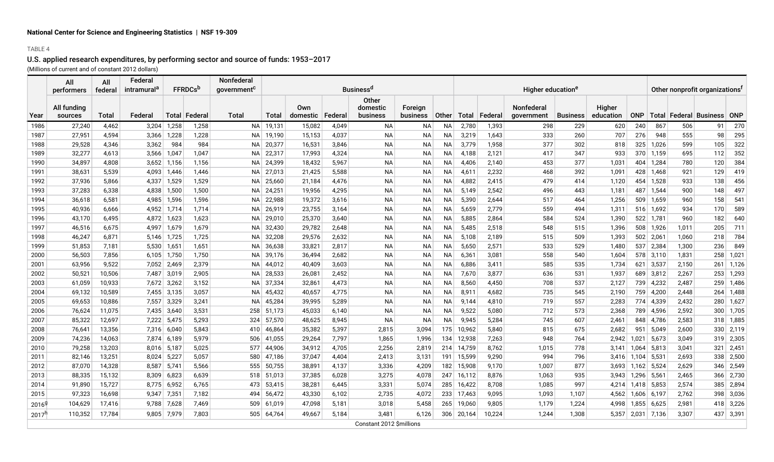#### TABLE 4

|                   | All<br>performers      | All<br>federal | Federal<br>intramural <sup>a</sup> |             | <b>FFRDCs</b> <sup>t</sup> | Nonfederal<br>government <sup>c</sup> |        |                 |         | <b>Business<sup>d</sup></b>                 |                     |           |            |         | Higher education <sup>e</sup>   | Other nonprofit organizations <sup>1</sup> |                     |            |           |       |                                  |       |
|-------------------|------------------------|----------------|------------------------------------|-------------|----------------------------|---------------------------------------|--------|-----------------|---------|---------------------------------------------|---------------------|-----------|------------|---------|---------------------------------|--------------------------------------------|---------------------|------------|-----------|-------|----------------------------------|-------|
| Year              | All funding<br>sources | <b>Total</b>   | Federal                            |             | Total   Federal            | Total                                 | Total  | Own<br>domestic | Federal | <b>Other</b><br>domestic<br><b>business</b> | Foreign<br>business | Other     | Total      | Federal | <b>Nonfederal</b><br>qovernment | <b>Business</b>                            | Higher<br>education | <b>ONP</b> |           |       | Total   Federal   Business   ONP |       |
| 1986              | 27,240                 | 4,462          | 3,204                              | 1,258       | 1,258                      | NA.                                   | 19,131 | 15,082          | 4,049   | NA                                          | NA                  | NA        | 2,780      | 1,393   | 298                             | 229                                        | 620                 | 240        | 867       | 506   | 91                               | 270   |
| 1987              | 27,951                 | 4,594          | 3,366                              | 1,228       | 1,228                      | NA.                                   | 19,190 | 15,153          | 4,037   | <b>NA</b>                                   | NA                  | ΝA        | 3,219      | 1,643   | 333                             | 260                                        | 707                 | 276        | 948       | 555   | 98                               | 295   |
| 1988              | 29,528                 | 4,346          | 3,362                              | 984         | 984                        | <b>NA</b>                             | 20,377 | 16,531          | 3,846   | <b>NA</b>                                   | <b>NA</b>           | <b>NA</b> | 3,779      | 1,958   | 377                             | 302                                        | 818                 | 325        | 1,026     | 599   | 105                              | 322   |
| 1989              | 32,277                 | 4,613          | 3,566                              | 1,047       | 1,047                      | NA.                                   | 22,317 | 17,993          | 4,324   | <b>NA</b>                                   | <b>NA</b>           | <b>NA</b> | 4,188      | 2,121   | 417                             | 347                                        | 933                 | 370        | 1,159     | 695   | 112                              | 352   |
| 1990              | 34,897                 | 4,808          | 3,652                              | 1,156       | 1,156                      | NА                                    | 24,399 | 18,432          | 5,967   | <b>NA</b>                                   | <b>NA</b>           | <b>NA</b> | 4,406      | 2,140   | 453                             | 377                                        | 1,031               | 404        | 1,284     | 780   | 120                              | 384   |
| 1991              | 38,631                 | 5,539          | 4,093                              | 1,446       | 1,446                      | <b>NA</b>                             | 27,013 | 21,425          | 5,588   | <b>NA</b>                                   | NA                  | <b>NA</b> | 4,611      | 2,232   | 468                             | 392                                        | 1,091               | 428        | 1,468     | 921   | 129                              | 419   |
| 1992              | 37,936                 | 5,866          | 4,337                              | 1,529       | 1,529                      | ΝA                                    | 25,660 | 21,184          | 4,476   | <b>NA</b>                                   | NA                  | <b>NA</b> | 4,882      | 2,415   | 479                             | 414                                        | 1,120               | 454        | 1,528     | 933   | 138                              | 456   |
| 1993              | 37,283                 | 6,338          | 4,838                              | 1,500       | 1,500                      | ΝA                                    | 24,251 | 19,956          | 4,295   | <b>NA</b>                                   | NA                  | <b>NA</b> | 5,149      | 2,542   | 496                             | 443                                        | 1,181               | 487        | 1,544     | 900   | 148                              | 497   |
| 1994              | 36,618                 | 6,581          | 4,985                              | 1,596       | 1,596                      | <b>NA</b>                             | 22,988 | 19,372          | 3,616   | <b>NA</b>                                   | <b>NA</b>           | <b>NA</b> | 5,390      | 2,644   | 517                             | 464                                        | 1,256               | 509        | 1,659     | 960   | 158                              | 541   |
| 1995              | 40,936                 | 6,666          | 4,952                              | 1,714       | 1,714                      | NA                                    | 26,919 | 23,755          | 3,164   | <b>NA</b>                                   | <b>NA</b>           | <b>NA</b> | 5,659      | 2,779   | 559                             | 494                                        | 1,311               |            | 516 1,692 | 934   | 170                              | 589   |
| 1996              | 43,170                 | 6,495          | 4,872                              | 1,623       | 1,623                      | NA                                    | 29,010 | 25,370          | 3,640   | <b>NA</b>                                   | <b>NA</b>           | <b>NA</b> | 5,885      | 2,864   | 584                             | 524                                        | 1,390               | 522        | 1,781     | 960   | 182                              | 640   |
| 1997              | 46,516                 | 6,675          | 4.997                              | 1,679       | 1,679                      | <b>NA</b>                             | 32,430 | 29,782          | 2,648   | <b>NA</b>                                   | <b>NA</b>           | <b>NA</b> | 5,485      | 2,518   | 548                             | 515                                        | 1,396               | 508        | 1,926     | 1,011 | 205                              | 711   |
| 1998              | 46,247                 | 6,871          | 5,146                              | 1,725       | 1,725                      | <b>NA</b>                             | 32,208 | 29,576          | 2,632   | <b>NA</b>                                   | NA                  | <b>NA</b> | 5,108      | 2,189   | 515                             | 509                                        | 1,393               | 502        | 2,061     | 1,060 | 218                              | 784   |
| 1999              | 51,853                 | 7,181          | 5,530                              | 1,651       | 1,651                      | NА                                    | 36,638 | 33,821          | 2,817   | <b>NA</b>                                   | <b>NA</b>           | <b>NA</b> | 5,650      | 2,571   | 533                             | 529                                        | 1,480               | 537        | 2,384     | 1,300 | 236                              | 849   |
| 2000              | 56,503                 | 7,856          | 6,105                              | 1,750       | 1,750                      | ΝA                                    | 39,176 | 36,494          | 2,682   | <b>NA</b>                                   | NA                  | ΝA        | 6,361      | 3,081   | 558                             | 540                                        | 1,604               | 578        | 3,110     | 1,831 | 258                              | 1,021 |
| 2001              | 63,956                 | 9,522          | 7,052                              | 2,469       | 2,379                      | NA                                    | 44,012 | 40,409          | 3,603   | <b>NA</b>                                   | <b>NA</b>           | <b>NA</b> | 6,886      | 3,411   | 585                             | 535                                        | 1,734               | 621        | 3,537     | 2,150 | 261                              | 1,126 |
| 2002              | 50,521                 | 10,506         | 7,487                              | 3,019       | 2,905                      | NА                                    | 28,533 | 26,081          | 2,452   | <b>NA</b>                                   | NA                  | <b>NA</b> | 7,670      | 3,877   | 636                             | 531                                        | 1,937               | 689        | 3,812     | 2,267 | 253                              | 1,293 |
| 2003              | 61,059                 | 10,933         | 7,672                              | 3,262       | 3,152                      | NА                                    | 37,334 | 32,861          | 4,473   | <b>NA</b>                                   | NA                  | <b>NA</b> | 8,560      | 4,450   | 708                             | 537                                        | 2,127               | 739        | 4,232     | 2,487 | 259                              | 1,486 |
| 2004              | 69,132                 | 10,589         | 7,455                              | 3,135       | 3,057                      | NA                                    | 45,432 | 40,657          | 4,775   | <b>NA</b>                                   | <b>NA</b>           | <b>NA</b> | 8,911      | 4,682   | 735                             | 545                                        | 2,190               | 759        | 4,200     | 2,448 | 264                              | 1,488 |
| 2005              | 69,653                 | 10,886         | 7,557                              | 3,329       | 3,241                      | NA.                                   | 45,284 | 39,995          | 5,289   | <b>NA</b>                                   | <b>NA</b>           | <b>NA</b> | 9,144      | 4,810   | 719                             | 557                                        | 2,283               | 774        | 4,339     | 2,432 | 280                              | 1,627 |
| 2006              | 76,624                 | 11,075         | 7,435                              | 3,640       | 3,531                      | 258                                   | 51,173 | 45,033          | 6,140   | <b>NA</b>                                   | <b>NA</b>           | ΝA        | 9,522      | 5,080   | 712                             | 573                                        | 2,368               | 789        | 4,596     | 2,592 | 300                              | 1,705 |
| 2007              | 85,322                 | 12,697         | 7,222                              | 5,475       | 5,293                      | 324                                   | 57,570 | 48,625          | 8,945   | NA                                          | <b>NA</b>           | ΝA        | 9,945      | 5,284   | 745                             | 607                                        | 2,461               | 848        | 4,786     | 2,583 | 318                              | 1,885 |
| 2008              | 76,641                 | 13,356         | 7,316                              | 6,040       | 5,843                      | 410                                   | 46,864 | 35,382          | 5,397   | 2,815                                       | 3,094               | 175       | 10,962     | 5,840   | 815                             | 675                                        | 2,682               | 951        | 5,049     | 2,600 | 330                              | 2,119 |
| 2009              | 74,236                 | 14,063         | 7,874                              | 6,189       | 5,979                      | 506                                   | 41,055 | 29,264          | 7,797   | 1,865                                       | 1,996               | 134       | 12,938     | 7,263   | 948                             | 764                                        | 2,942               | 1,021      | 5,673     | 3,049 | 319                              | 2,305 |
| 2010              | 79.258                 | 13,203         | 8.016                              | 5,187       | 5,025                      | 577                                   | 44,906 | 34,912          | 4,705   | 2,256                                       | 2,819               | 214       | 14.759     | 8,762   | 1,015                           | 778                                        | 3,141               | 1.064      | 5,813     | 3,041 | 321                              | 2,451 |
| 2011              | 82,146                 | 13,251         | 8.024                              | 5,227       | 5,057                      | 580                                   | 47,186 | 37,047          | 4,404   | 2,413                                       | 3,131               | 191       | 15,599     | 9,290   | 994                             | 796                                        | 3,416               | 1.104      | 5,531     | 2,693 | 338                              | 2,500 |
| 2012              | 87,070                 | 14,328         | 8,587                              | 5,741       | 5,566                      | 555                                   | 50,755 | 38,891          | 4,137   | 3,336                                       | 4,209               | 182       | 15,908     | 9,170   | 1,007                           | 877                                        | 3,693               | 1,162      | 5,524     | 2,629 | 346                              | 2,549 |
| 2013              | 88,335                 | 15,132         | 8,309                              | 6,823       | 6,639                      | 518                                   | 51,013 | 37,385          | 6,028   | 3,275                                       | 4,078               | 247       | 16,112     | 8,876   | 1,063                           | 935                                        | 3,943               | 1,296      | 5,561     | 2,465 | 366                              | 2,730 |
| 2014              | 91,890                 | 15,727         | 8,775                              | 6,952       | 6,765                      | 473                                   | 53,415 | 38,281          | 6,445   | 3,331                                       | 5,074               | 285       | 16,422     | 8,708   | 1,085                           | 997                                        | 4,214               | 1,418      | 5,853     | 2,574 | 385                              | 2,894 |
| 2015              | 97,323                 | 16,698         | 9,347                              | 7,351       | 7,182                      | 494                                   | 56,472 | 43,330          | 6,102   | 2,735                                       | 4,072               | 233       | 17,463     | 9,095   | 1,093                           | 1,107                                      | 4,562               | 1,606      | 6,197     | 2,762 | 398                              | 3,036 |
| 20169             | 104,629                | 17,416         | 9,788                              | 7,628       | 7,469                      | 509                                   | 61,019 | 47,098          | 5,181   | 3,018                                       | 5,458               | 265       | 19,060     | 9,805   | 1,179                           | 1,224                                      | 4,998               | 1,855      | 6,625     | 2,981 | 418                              | 3,226 |
| 2017 <sup>h</sup> | 110,352                | 17,784         |                                    | 9,805 7,979 | 7,803                      | 505                                   | 64,764 | 49,667          | 5,184   | 3.481                                       | 6,126               |           | 306 20,164 | 10,224  | 1,244                           | 1,308                                      | 5,357               | 2,031      | 7,136     | 3,307 | 437                              | 3,391 |
|                   |                        |                |                                    |             |                            |                                       |        |                 |         | Constant 2012 Smillions                     |                     |           |            |         |                                 |                                            |                     |            |           |       |                                  |       |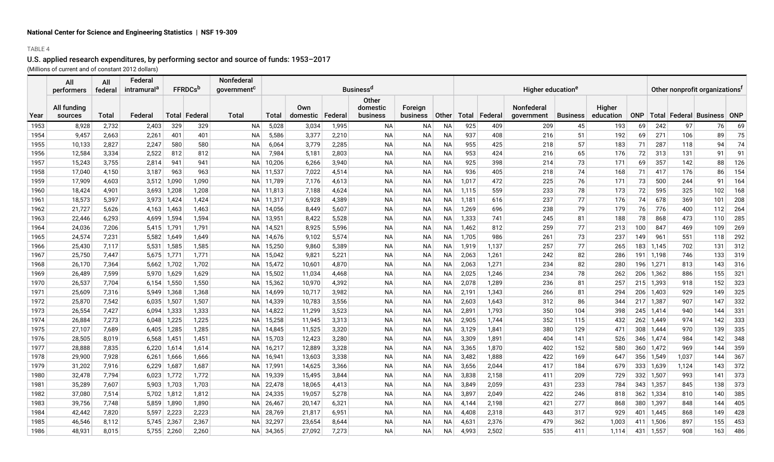#### TABLE 4

|      | All<br><b>performers</b> | All<br>federal | Federal<br>intramural <sup>a</sup> |       | <b>FFRDCs</b> b | <b>Nonfederal</b><br><b>Businessd</b><br>government <sup>c</sup> |           |                 |         |                                      |                            |           |       |                 | Higher education <sup>e</sup>   | Other nonprofit organizations <sup>1</sup> |                     |            |             |       |                                  |     |
|------|--------------------------|----------------|------------------------------------|-------|-----------------|------------------------------------------------------------------|-----------|-----------------|---------|--------------------------------------|----------------------------|-----------|-------|-----------------|---------------------------------|--------------------------------------------|---------------------|------------|-------------|-------|----------------------------------|-----|
| Year | All funding<br>sources   | Total          | Federal                            |       | Total   Federal | Total                                                            | Total     | Own<br>domestic | Federal | <b>Other</b><br>domestic<br>business | Foreign<br><b>business</b> | Other     |       | Total   Federal | <b>Nonfederal</b><br>government | <b>Business</b>                            | Higher<br>education | <b>ONP</b> |             |       | Total   Federal   Business   ONP |     |
| 1953 | 8,928                    | 2,732          | 2,403                              | 329   | 329             | <b>NA</b>                                                        | 5,028     | 3,034           | 1,995   | NA                                   | NA                         | ΝA        | 925   | 409             | 209                             | 45                                         | 193                 | 69         | 242         | 97    | 76                               | 69  |
| 1954 | 9,457                    | 2,663          | 2,261                              | 401   | 401             | <b>NA</b>                                                        | 5,586     | 3,377           | 2,210   | NA                                   | NA                         | NА        | 937   | 408             | 216                             | 51                                         | 192                 | 69         | 271         | 106   | 89                               | 75  |
| 1955 | 10,133                   | 2,827          | 2,247                              | 580   | 580             | ΝA                                                               | 6,064     | 3,779           | 2,285   | NA                                   | NA                         | NА        | 955   | 425             | 218                             | 57                                         | 183                 | 71         | 287         | 118   | 94                               | 74  |
| 1956 | 12,584                   | 3,334          | 2,522                              | 812   | 812             | <b>NA</b>                                                        | 7,984     | 5,181           | 2,803   | <b>NA</b>                            | ΝA                         | NА        | 953   | 424             | 216                             | 65                                         | 176                 | 72         | 313         | 131   | 91                               | 91  |
| 1957 | 15,243                   | 3,755          | 2,814                              | 941   | 941             | <b>NA</b>                                                        | 10,206    | 6,266           | 3,940   | <b>NA</b>                            | NA                         | <b>NA</b> | 925   | 398             | 214                             | 73                                         | 171                 | 69         | 357         | 142   | 88                               | 126 |
| 1958 | 17,040                   | 4,150          | 3,187                              | 963   | 963             | NA                                                               | 11,537    | 7,022           | 4,514   | NA                                   | NA                         | NА        | 936   | 405             | 218                             | 74                                         | 168                 | 71         | 417         | 176   | 86                               | 154 |
| 1959 | 17,909                   | 4,603          | 3,512                              | 1,090 | 1,090           |                                                                  | NA 11,789 | 7,176           | 4,613   | NA                                   | ΝA                         | NА        | 1,017 | 472             | 225                             | 76                                         | 171                 | 73         | 500         | 244   | 91                               | 164 |
| 1960 | 18,424                   | 4,901          | 3,693                              | 1,208 | 1,208           | NA.                                                              | 11,813    | 7,188           | 4,624   | <b>NA</b>                            | NA                         | NА        | 1,115 | 559             | 233                             | 78                                         | 173                 | 72         | 595         | 325   | 102                              | 168 |
| 1961 | 18,573                   | 5,397          | 3.973                              | 1,424 | 1,424           | <b>NA</b>                                                        | 11,317    | 6,928           | 4,389   | <b>NA</b>                            | <b>NA</b>                  | NA.       | 1,181 | 616             | 237                             | 77                                         | 176                 | 74         | 678         | 369   | 101                              | 208 |
| 1962 | 21,727                   | 5,626          | 4,163                              | 1,463 | 1,463           | <b>NA</b>                                                        | 14,056    | 8,449           | 5,607   | <b>NA</b>                            | NA                         | <b>NA</b> | 1,269 | 696             | 238                             | 79                                         | 179                 | 76         | 776         | 400   | 112                              | 264 |
| 1963 | 22,446                   | 6,293          | 4,699                              | 1,594 | 1,594           | <b>NA</b>                                                        | 13,951    | 8,422           | 5,528   | <b>NA</b>                            | <b>NA</b>                  | <b>NA</b> | 1,333 | 741             | 245                             | 81                                         | 188                 | 78         | 868         | 473   | 110                              | 285 |
| 1964 | 24,036                   | 7,206          | 5,415                              | 1,791 | 1,791           | <b>NA</b>                                                        | 14,521    | 8,925           | 5,596   | <b>NA</b>                            | NA                         | <b>NA</b> | 1,462 | 812             | 259                             | 77                                         | 213                 | 100        | 847         | 469   | 109                              | 269 |
| 1965 | 24,574                   | 7,231          | 5,582                              | 1,649 | 1,649           | <b>NA</b>                                                        | 14,676    | 9,102           | 5,574   | <b>NA</b>                            | NA                         | <b>NA</b> | 1,705 | 986             | 261                             | 73                                         | 237                 | 149        | 961         | 551   | 118                              | 292 |
| 1966 | 25,430                   | 7,117          | 5,531                              | 1,585 | 1,585           | NA.                                                              | 15,250    | 9,860           | 5,389   | <b>NA</b>                            | NA                         | NА        | 1,919 | 1,137           | 257                             | 77                                         | 265                 |            | $183$ 1,145 | 702   | 131                              | 312 |
| 1967 | 25,750                   | 7,447          | 5,675                              | 1,771 | 1,771           | NA.                                                              | 15,042    | 9,821           | 5,221   | <b>NA</b>                            | NA                         | NА        | 2,063 | 1,261           | 242                             | 82                                         | 286                 |            | 191 1,198   | 746   | 133                              | 319 |
| 1968 | 26,170                   | 7,364          | 5,662                              | 1,702 | 1,702           | <b>NA</b>                                                        | 15,472    | 10,601          | 4,870   | <b>NA</b>                            | NA                         | NА        | 2,063 | 1,271           | 234                             | 82                                         | 280                 |            | 196 1,271   | 813   | 143                              | 316 |
| 1969 | 26,489                   | 7,599          | 5,970                              | 1,629 | 1,629           | <b>NA</b>                                                        | 15,502    | 11,034          | 4,468   | <b>NA</b>                            | NA                         | <b>NA</b> | 2,025 | 1,246           | 234                             | 78                                         | 262                 |            | $206$ 1,362 | 886   | 155                              | 321 |
| 1970 | 26,537                   | 7,704          | 6,154                              | 1,550 | 1,550           | <b>NA</b>                                                        | 15,362    | 10,970          | 4,392   | <b>NA</b>                            | NA                         | <b>NA</b> | 2,078 | 1,289           | 236                             | 81                                         | 257                 |            | $215$ 1,393 | 918   | 152                              | 323 |
| 1971 | 25,609                   | 7,316          | 5,949                              | 1,368 | 1,368           | NA                                                               | 14,699    | 10,717          | 3,982   | <b>NA</b>                            | NA                         | NА        | 2,191 | 1,343           | 266                             | 81                                         | 294                 |            | 206 1,403   | 929   | 149                              | 325 |
| 1972 | 25,870                   | 7,542          | 6,035                              | 1,507 | 1,507           | NA.                                                              | 14,339    | 10,783          | 3,556   | <b>NA</b>                            | NA                         | NА        | 2,603 | 1,643           | 312                             | 86                                         | 344                 |            | $217$ 1,387 | 907   | 147                              | 332 |
| 1973 | 26,554                   | 7,427          | 6,094                              | 1,333 | 1,333           | NА                                                               | 14,822    | 11,299          | 3,523   | NA                                   | NA                         | NА        | 2,891 | 1,793           | 350                             | 104                                        | 398                 |            | 245 1,414   | 940   | 144                              | 331 |
| 1974 | 26,884                   | 7,273          | 6,048                              | 1,225 | 1,225           | NA.                                                              | 15,258    | 11,945          | 3,313   | NA                                   | NA                         | NА        | 2,905 | 1,744           | 352                             | 115                                        | 432                 |            | 262 1,449   | 974   | 142                              | 333 |
| 1975 | 27,107                   | 7,689          | 6,405                              | 1,285 | 1,285           | NA.                                                              | 14,845    | 11,525          | 3,320   | <b>NA</b>                            | NA                         | NА        | 3,129 | 1,841           | 380                             | 129                                        | 471                 |            | $308$ 1,444 | 970   | 139                              | 335 |
| 1976 | 28,505                   | 8,019          | 6,568                              | 1,451 | 1,451           | <b>NA</b>                                                        | 15,703    | 12,423          | 3,280   | NA                                   | NA                         | NА        | 3,309 | 1,891           | 404                             | 141                                        | 526                 |            | $346$ 1,474 | 984   | 142                              | 348 |
| 1977 | 28,888                   | 7,835          | 6,220                              | 1,614 | 1,614           | NA.                                                              | 16,217    | 12,889          | 3,328   | NA                                   | ΝA                         | ΝA        | 3,365 | 1,870           | 402                             | 152                                        | 580                 |            | $360$ 1,472 | 969   | 144                              | 359 |
| 1978 | 29,900                   | 7,928          | 6,261                              | 1,666 | 1,666           | NA                                                               | 16,941    | 13,603          | 3,338   | NA                                   | ΝA                         | NA        | 3,482 | 1,888           | 422                             | 169                                        | 647                 |            | 356 1,549   | 1,037 | 144                              | 367 |
| 1979 | 31,202                   | 7,916          | 6,229                              | 1,687 | 1,687           | <b>NA</b>                                                        | 17,991    | 14,625          | 3,366   | <b>NA</b>                            | <b>NA</b>                  | <b>NA</b> | 3,656 | 2,044           | 417                             | 184                                        | 679                 |            | 333   1,639 | 1,124 | 143                              | 372 |
| 1980 | 32,478                   | 7,794          | 6,023                              | 1,772 | 1,772           | <b>NA</b>                                                        | 19,339    | 15,495          | 3,844   | <b>NA</b>                            | ΝA                         | NA.       | 3,838 | 2,158           | 411                             | 209                                        | 729                 |            | $332$ 1,507 | 993   | 141                              | 373 |
| 1981 | 35,289                   | 7,607          | 5,903                              | 1,703 | 1,703           | NA I                                                             | 22,478    | 18,065          | 4,413   | <b>NA</b>                            | NA                         | <b>NA</b> | 3,849 | 2,059           | 431                             | 233                                        | 784                 |            | $343$ 1,357 | 845   | 138                              | 373 |
| 1982 | 37,080                   | 7,514          | 5,702                              | 1,812 | 1,812           |                                                                  | NA 24,335 | 19,057          | 5,278   | <b>NA</b>                            | <b>NA</b>                  | <b>NA</b> | 3,897 | 2,049           | 422                             | 246                                        | 818                 |            | $362$ 1,334 | 810   | 140                              | 385 |
| 1983 | 39,756                   | 7,748          | 5,859                              | 1,890 | 1,890           | <b>NA</b>                                                        | 26,467    | 20,147          | 6,321   | <b>NA</b>                            | NA                         | <b>NA</b> | 4,144 | 2,198           | 421                             | 277                                        | 868                 |            | 380 1,397   | 848   | 144                              | 405 |
| 1984 | 42,442                   | 7,820          | 5,597                              | 2,223 | 2,223           | <b>NA</b>                                                        | 28,769    | 21,817          | 6,951   | <b>NA</b>                            | NA                         | NА        | 4,408 | 2,318           | 443                             | 317                                        | 929                 | 401        | 1,445       | 868   | 149                              | 428 |
| 1985 | 46,546                   | 8,112          | 5,745                              | 2,367 | 2,367           | <b>NA</b>                                                        | 32,297    | 23,654          | 8,644   | <b>NA</b>                            | NA                         | <b>NA</b> | 4,631 | 2,376           | 479                             | 362                                        | 1,003               | 411        | 1,506       | 897   | 155                              | 453 |
| 1986 | 48.931                   | 8,015          | 5.755                              | 2,260 | 2,260           |                                                                  | NA 34,365 | 27.092          | 7,273   | <b>NA</b>                            | <b>NA</b>                  | <b>NA</b> | 4.993 | 2.502           | 535                             | 411                                        | 1.114               | 431        | 1,557       | 908   | 163                              | 486 |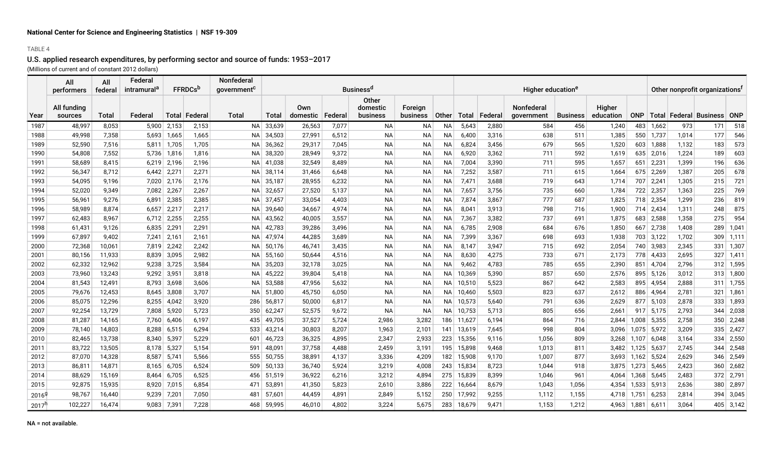### TABLE 4

|                     | All<br>performers      | All<br>federal | Federal<br>intramural <sup>a</sup> | <b>FFRDCs</b> b |         | Nonfederal<br>government <sup>c</sup> |             |                 |         | <b>Business<sup>d</sup></b>   |                     |              |        |         | Higher education <sup>e</sup> |                 | Other nonprofit organizations <sup>t</sup> |            |             |                 |                     |             |
|---------------------|------------------------|----------------|------------------------------------|-----------------|---------|---------------------------------------|-------------|-----------------|---------|-------------------------------|---------------------|--------------|--------|---------|-------------------------------|-----------------|--------------------------------------------|------------|-------------|-----------------|---------------------|-------------|
| Year                | All funding<br>sources | Total          | Federal                            | Total ∣         | Federal | Total                                 | Total       | Own<br>domestic | Federal | Other<br>domestic<br>business | Foreign<br>business | <b>Other</b> | Total  | Federal | Nonfederal<br>government      | <b>Business</b> | Higher<br>education                        | <b>ONP</b> |             | Total   Federal | <b>Business</b> ONP |             |
| 1987                | 48,997                 | 8,053          | 5,900                              | 2,153           | 2,153   | <b>NA</b>                             | 33,639      | 26,563          | 7,077   | ΝA                            | NA                  | <b>NA</b>    | 5,643  | 2,880   | 584                           | 456             | 1,240                                      | 483        | 1,662       | 973             | 171                 | 518         |
| 1988                | 49,998                 | 7,358          | 5,693                              | 1,665           | 1,665   |                                       | $NA$ 34,503 | 27,991          | 6,512   | <b>NA</b>                     | NА                  | ΝA           | 6,400  | 3,316   | 638                           | 511             | 1,385                                      |            | 550 1,737   | 1,014           | 177                 | 546         |
| 1989                | 52,590                 | 7,516          | 5,811                              | 1,705           | 1,705   |                                       | NA 36,362   | 29,317          | 7,045   | <b>NA</b>                     | NA                  | NА           | 6,824  | 3,456   | 679                           | 565             | 1,520                                      |            | $603$ 1,888 | 1,132           | 183                 | 573         |
| 1990                | 54,808                 | 7,552          | 5,736                              | 1,816           | 1,816   |                                       | NA 38,320   | 28,949          | 9,372   | <b>NA</b>                     | NA                  | NA           | 6,920  | 3,362   | 711                           | 592             | 1,619                                      |            | $635$ 2,016 | 1,224           | 189                 | 603         |
| 1991                | 58,689                 | 8,415          | 6,219                              | 2,196           | 2,196   |                                       | NA 41,038   | 32,549          | 8,489   | <b>NA</b>                     | NA                  | NA           | 7,004  | 3,390   | 711                           | 595             | 1,657                                      | 651        | 2,231       | 1,399           | 196                 | 636         |
| 1992                | 56,347                 | 8,712          | 6,442                              | 2,271           | 2,271   |                                       | NA 38,114   | 31,466          | 6,648   | <b>NA</b>                     | ΝA                  | <b>NA</b>    | 7,252  | 3,587   | 711                           | 615             | 1,664                                      |            | 675 2,269   | 1,387           | 205                 | 678         |
| 1993                | 54,095                 | 9,196          | 7,020                              | 2,176           | 2,176   |                                       | NA 35,187   | 28,955          | 6,232   | <b>NA</b>                     | ΝA                  | ΝA           | 7,471  | 3,688   | 719                           | 643             | 1,714                                      | 707        | 2,241       | 1,305           | 215                 | 721         |
| 1994                | 52,020                 | 9,349          | 7,082                              | 2,267           | 2,267   |                                       | NA 32,657   | 27,520          | 5,137   | ΝA                            | <b>NA</b>           | <b>NA</b>    | 7,657  | 3,756   | 735                           | 660             | 1,784                                      |            | 722 2,357   | 1,363           | 225                 | 769         |
| 1995                | 56,961                 | 9,276          | 6,891                              | 2,385           | 2,385   |                                       | NA 37,457   | 33,054          | 4,403   | <b>NA</b>                     | NA                  | ΝA           | 7,874  | 3,867   | 777                           | 687             | 1,825                                      |            | 718 2,354   | 1,299           | 236                 | 819         |
| 1996                | 58,989                 | 8,874          | 6,657                              | 2,217           | 2,217   | <b>NA</b>                             | 39,640      | 34,667          | 4,974   | <b>NA</b>                     | <b>NA</b>           | NA           | 8,041  | 3,913   | 798                           | 716             | 1,900                                      |            | 714 2,434   | 1,311           | 248                 | 875         |
| 1997                | 62,483                 | 8,967          | 6,712                              | 2,255           | 2,255   | <b>NA</b>                             | 43,562      | 40,005          | 3,557   | ΝA                            | NA                  | NA           | 7,367  | 3,382   | 737                           | 691             | 1,875                                      | 683        | 2,588       | 1,358           | 275                 | 954         |
| 1998                | 61,431                 | 9,126          | 6,835                              | 2,29            | 2,291   | <b>NA</b>                             | 42,783      | 39,286          | 3,496   | <b>NA</b>                     | <b>NA</b>           | NA           | 6,785  | 2,908   | 684                           | 676             | 1,850                                      | 667        | 2,738       | 1,408           | 289                 | 1,041       |
| 1999                | 67,897                 | 9,402          | 7,241                              | 2,161           | 2,161   | NA.                                   | 47,974      | 44,285          | 3,689   | <b>NA</b>                     | ΝA                  | ΝA           | 7,399  | 3,367   | 698                           | 693             | 1,938                                      |            | 703 3,122   | 1,702           | 309                 | 1,111       |
| 2000                | 72,368                 | 10,061         | 7.819                              | 2,242           | 2,242   | <b>NA</b>                             | 50,176      | 46,741          | 3,435   | <b>NA</b>                     | NA                  | NA           | 8,147  | 3,947   | 715                           | 692             | 2,054                                      | 740        | 3,983       | 2,345           | 331                 | 1,307       |
| 2001                | 80,156                 | 11,933         | 8,839                              | 3,095           | 2,982   | NA.                                   | 55,160      | 50,644          | 4,516   | <b>NA</b>                     | <b>NA</b>           | NA           | 8,630  | 4,275   | 733                           | 671             | 2,173                                      | 778        | 4,433       | 2,695           | 327                 | 1,411       |
| 2002                | 62,332                 | 12,962         | 9,238                              | 3,725           | 3,584   | NA.                                   | 35,203      | 32,178          | 3,025   | <b>NA</b>                     | <b>NA</b>           | NA           | 9,462  | 4,783   | 785                           | 655             | 2,390                                      | 851        | 4,704       | 2,796           |                     | $312$ 1,595 |
| 2003                | 73,960                 | 13,243         | 9,292                              | 3,951           | 3,818   | NA.                                   | 45,222      | 39,804          | 5,418   | <b>NA</b>                     | <b>NA</b>           | <b>NA</b>    | 10,369 | 5,390   | 857                           | 650             | 2,576                                      |            | 895 5,126   | 3,012           |                     | $313$ 1,800 |
| 2004                | 81,543                 | 12,491         | 8.793                              | 3,698           | 3,606   |                                       | NA 53,588   | 47,956          | 5,632   | <b>NA</b>                     | <b>NA</b>           | NA.          | 10,510 | 5,523   | 867                           | 642             | 2,583                                      |            | 895 4,954   | 2,888           |                     | $311$ 1,755 |
| 2005                | 79,676                 | 12,453         | 8,645                              | 3,808           | 3,707   | <b>NA</b>                             | 51,800      | 45,750          | 6,050   | <b>NA</b>                     | <b>NA</b>           | NA           | 10,460 | 5,503   | 823                           | 637             | 2,612                                      |            | 886 4,964   | 2,781           | 321                 | 1,861       |
| 2006                | 85,075                 | 12,296         | 8,255                              | 4,042           | 3,920   | 286                                   | 56,817      | 50,000          | 6,817   | <b>NA</b>                     | ΝA                  | <b>NA</b>    | 10,573 | 5,640   | 791                           | 636             | 2,629                                      |            | $877$ 5,103 | 2,878           | 333                 | 1,893       |
| 2007                | 92,254                 | 13,729         | 7,808                              | 5,920           | 5,723   | 350                                   | 62,247      | 52,575          | 9,672   | <b>NA</b>                     | <b>NA</b>           | NA           | 10,753 | 5,713   | 805                           | 656             | 2,661                                      |            | $917$ 5.175 | 2,793           | 344                 | 2,038       |
| 2008                | 81,287                 | 14,165         | 7,760                              | 6,406           | 6,197   | 435                                   | 49,705      | 37,527          | 5,724   | 2,986                         | 3,282               | 186          | 11,627 | 6,194   | 864                           | 716             | 2,844                                      | 1,008      | 5,355       | 2,758           | 350                 | 2,248       |
| 2009                | 78,140                 | 14,803         | 8,288                              | 6,515           | 6,294   | 533                                   | 43,214      | 30,803          | 8,207   | 1,963                         | 2,101               | 141          | 13,619 | 7,645   | 998                           | 804             | 3,096                                      | 1,075      | 5,972       | 3,209           |                     | $335$ 2,427 |
| 2010                | 82,465                 | 13,738         | 8,340                              | 5,397           | 5,229   | 601                                   | 46,723      | 36,325          | 4,895   | 2,347                         | 2,933               | 223          | 15,356 | 9,116   | 1,056                         | 809             | 3,268                                      | 1.107      | 6,048       | 3,164           |                     | 334   2,550 |
| 2011                | 83,722                 | 13,505         | 8,178                              | 5,327           | 5,154   | 591                                   | 48,091      | 37,758          | 4,488   | 2,459                         | 3,191               | 195          | 15,898 | 9,468   | 1,013                         | 811             | 3.482                                      | 1,125      | 5,637       | 2,745           | 344                 | 2,548       |
| 2012                | 87,070                 | 14,328         | 8,587                              | 5,741           | 5,566   | 555                                   | 50,755      | 38,891          | 4,137   | 3,336                         | 4,209               | 182          | 15,908 | 9,170   | 1,007                         | 877             | 3,693                                      | 1,162      | 5,524       | 2,629           | 346                 | 2,549       |
| 2013                | 86,811                 | 14,871         | 8,165                              | 6,705           | 6,524   | 509                                   | 50,133      | 36,740          | 5,924   | 3,219                         | 4,008               | 243          | 15,834 | 8,723   | 1,044                         | 918             | 3,875                                      | 1,273      | 5,465       | 2,423           | 360                 | 2,682       |
| 2014                | 88,629                 | 15,169         | 8,464                              | 6,705           | 6,525   | 456                                   | 51,519      | 36,922          | 6,216   | 3,212                         | 4,894               | 275          | 15,839 | 8,399   | 1,046                         | 961             | 4,064                                      | 1,368      | 5,645       | 2,483           |                     | $372$ 2,791 |
| 2015                | 92,875                 | 15,935         | 8,920                              | 7,015           | 6,854   | 471                                   | 53,891      | 41,350          | 5,823   | 2,610                         | 3,886               | 222          | 16,664 | 8,679   | 1,043                         | 1,056           | 4,354                                      | 1,533      | 5,913       | 2,636           | 380                 | 2,897       |
| $2016^{\circ}$      | 98,767                 | 16,440         | 9.239                              | 7,201           | 7,050   | 481                                   | 57.601      | 44,459          | 4,891   | 2.849                         | 5,152               | 250          | 17.992 | 9,255   | 1,112                         | 1,155           | 4.718                                      | 1.751      | 6,253       | 2,814           | 394                 | 3,045       |
| $2017$ <sup>r</sup> | 102,227                | 16,474         | 9,083                              | 7,391           | 7,228   | 468                                   | 59,995      | 46,010          | 4,802   | 3,224                         | 5,675               | 283          | 18,679 | 9,471   | 1,153                         | 1,212           | 4,963                                      | 1,881      | 6,61'       | 3,064           |                     | $405$ 3,142 |